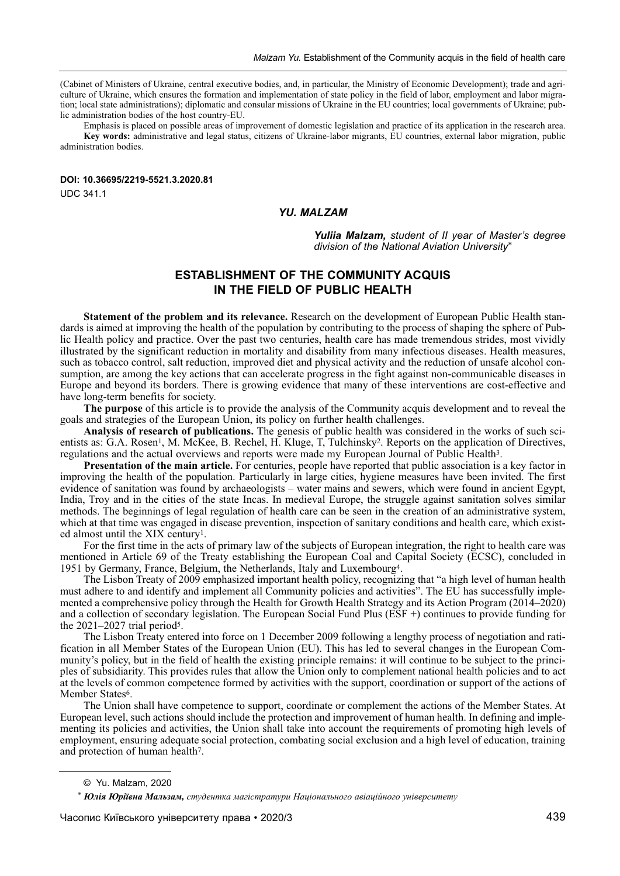(Cabinet of Ministers of Ukraine, central executive bodies, and, in particular, the Ministry of Economic Development); trade and agriculture of Ukraine, which ensures the formation and implementation of state policy in the field of labor, employment and labor migration; local state administrations); diplomatic and consular missions of Ukraine in the EU countries; local governments of Ukraine; public administration bodies of the host country-EU.

Emphasis is placed on possible areas of improvement of domestic legislation and practice of its application in the research area. **Key words:** administrative and legal status, citizens of Ukraine-labor migrants, EU countries, external labor migration, public administration bodies.

# **DOI: 10.36695/2219-5521.3.2020.81**

UDC 341.1

# *yu. MALZAM*

*yuliia Malzam, student of II year of Master's degree division of the National Aviation University*\*

# **ESTABLISHMENT OF THE COMMUNITY ACQUIS IN THE FIELD OF PUBLIC HEALTH**

**Statement of the problem and its relevance.** Research on the development of European Public Health standards is aimed at improving the health of the population by contributing to the process of shaping the sphere of Public Health policy and practice. Over the past two centuries, health care has made tremendous strides, most vividly illustrated by the significant reduction in mortality and disability from many infectious diseases. Health measures, such as tobacco control, salt reduction, improved diet and physical activity and the reduction of unsafe alcohol consumption, are among the key actions that can accelerate progress in the fight against non-communicable diseases in Europe and beyond its borders. There is growing evidence that many of these interventions are cost-effective and have long-term benefits for society.

**The purpose** of this article is to provide the analysis of the Community acquis development and to reveal the goals and strategies of the European Union, its policy on further health challenges.

**Analysis of research of publications.** The genesis of public health was considered in the works of such scientists as: G.A. Rosen<sup>1</sup>, M. McKee, B. Rechel, H. Kluge, T. Tulchinsky<sup>2</sup>. Reports on the application of Directives, regulations and the actual overviews and reports were made my European Journal of Public Health3.

**Presentation of the main article.** For centuries, people have reported that public association is a key factor in improving the health of the population. Particularly in large cities, hygiene measures have been invited. The first evidence of sanitation was found by archaeologists – water mains and sewers, which were found in ancient Egypt, India, Troy and in the cities of the state Incas. In medieval Europe, the struggle against sanitation solves similar methods. The beginnings of legal regulation of health care can be seen in the creation of an administrative system, which at that time was engaged in disease prevention, inspection of sanitary conditions and health care, which existed almost until the XIX century1.

For the first time in the acts of primary law of the subjects of European integration, the right to health care was mentioned in Article 69 of the Treaty establishing the European Coal and Capital Society (ECSC), concluded in 1951 by Germany, France, Belgium, the Netherlands, Italy and Luxembourg4.

The Lisbon Treaty of 2009 emphasized important health policy, recognizing that "a high level of human health must adhere to and identify and implement all Community policies and activities". The EU has successfully implemented a comprehensive policy through the Health for Growth Health Strategy and its Action Program (2014–2020) and a collection of secondary legislation. The European Social Fund Plus (ESF +) continues to provide funding for the  $2021-2027$  trial period<sup>5</sup>.

The Lisbon Treaty entered into force on 1 December 2009 following a lengthy process of negotiation and ratification in all Member States of the European Union (EU). This has led to several changes in the European Community's policy, but in the field of health the existing principle remains: it will continue to be subject to the principles of subsidiarity. This provides rules that allow the Union only to complement national health policies and to act at the levels of common competence formed by activities with the support, coordination or support of the actions of Member States<sup>6</sup>.

The Union shall have competence to support, coordinate or complement the actions of the Member States. At European level, such actions should include the protection and improvement of human health. In defining and implementing its policies and activities, the Union shall take into account the requirements of promoting high levels of employment, ensuring adequate social protection, combating social exclusion and a high level of education, training and protection of human health7.

<sup>©</sup> Yu. Malzam, 2020

<sup>\*</sup> *Юлія Юріївна Мальзам, студентка магістратури Національного авіаційного університету*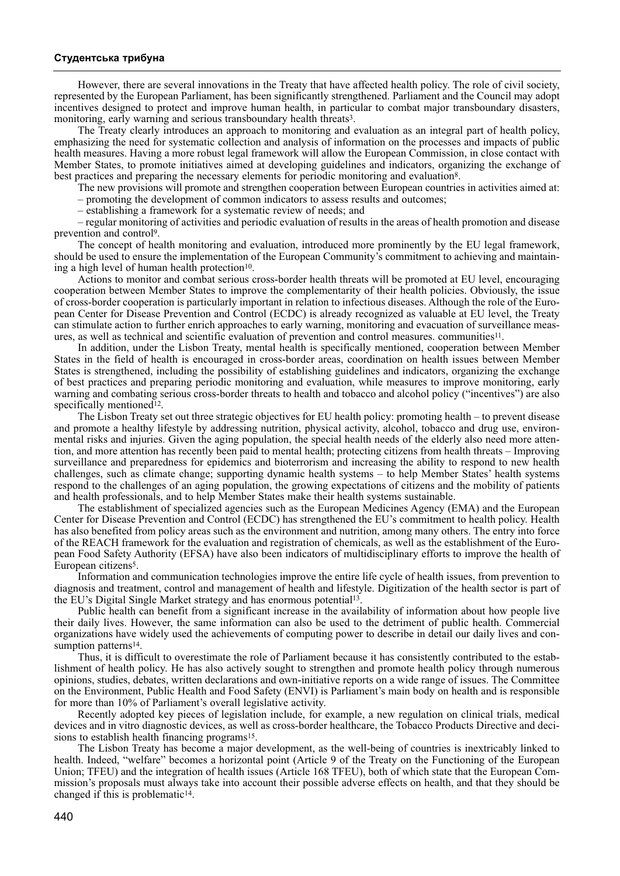## **Студентська трибуна**

However, there are several innovations in the Treaty that have affected health policy. The role of civil society, represented by the European Parliament, has been significantly strengthened. Parliament and the Council may adopt incentives designed to protect and improve human health, in particular to combat major transboundary disasters, monitoring, early warning and serious transboundary health threats<sup>3</sup>.

The Treaty clearly introduces an approach to monitoring and evaluation as an integral part of health policy, emphasizing the need for systematic collection and analysis of information on the processes and impacts of public health measures. Having a more robust legal framework will allow the European Commission, in close contact with Member States, to promote initiatives aimed at developing guidelines and indicators, organizing the exchange of best practices and preparing the necessary elements for periodic monitoring and evaluation<sup>8</sup>.

The new provisions will promote and strengthen cooperation between European countries in activities aimed at:

– promoting the development of common indicators to assess results and outcomes;

– establishing a framework for a systematic review of needs; and

– regular monitoring of activities and periodic evaluation of results in the areas of health promotion and disease prevention and control9.

The concept of health monitoring and evaluation, introduced more prominently by the EU legal framework, should be used to ensure the implementation of the European Community's commitment to achieving and maintaining a high level of human health protection $10$ .

Actions to monitor and combat serious cross-border health threats will be promoted at EU level, encouraging cooperation between Member States to improve the complementarity of their health policies. Obviously, the issue of cross-border cooperation is particularly important in relation to infectious diseases. Although the role of the European Center for Disease Prevention and Control (ECDC) is already recognized as valuable at EU level, the Treaty can stimulate action to further enrich approaches to early warning, monitoring and evacuation of surveillance measures, as well as technical and scientific evaluation of prevention and control measures. communities11.

In addition, under the Lisbon Treaty, mental health is specifically mentioned, cooperation between Member States in the field of health is encouraged in cross-border areas, coordination on health issues between Member States is strengthened, including the possibility of establishing guidelines and indicators, organizing the exchange of best practices and preparing periodic monitoring and evaluation, while measures to improve monitoring, early warning and combating serious cross-border threats to health and tobacco and alcohol policy ("incentives") are also specifically mentioned<sup>12</sup>.

The Lisbon Treaty set out three strategic objectives for EU health policy: promoting health – to prevent disease and promote a healthy lifestyle by addressing nutrition, physical activity, alcohol, tobacco and drug use, environmental risks and injuries. Given the aging population, the special health needs of the elderly also need more attention, and more attention has recently been paid to mental health; protecting citizens from health threats – Improving surveillance and preparedness for epidemics and bioterrorism and increasing the ability to respond to new health challenges, such as climate change; supporting dynamic health systems – to help Member States' health systems respond to the challenges of an aging population, the growing expectations of citizens and the mobility of patients and health professionals, and to help Member States make their health systems sustainable.

The establishment of specialized agencies such as the European Medicines Agency (EMA) and the European Center for Disease Prevention and Control (ECDC) has strengthened the EU's commitment to health policy. Health has also benefited from policy areas such as the environment and nutrition, among many others. The entry into force of the REACH framework for the evaluation and registration of chemicals, as well as the establishment of the European Food Safety Authority (EFSA) have also been indicators of multidisciplinary efforts to improve the health of European citizens5.

Information and communication technologies improve the entire life cycle of health issues, from prevention to diagnosis and treatment, control and management of health and lifestyle. Digitization of the health sector is part of the EU's Digital Single Market strategy and has enormous potential13.

Public health can benefit from a significant increase in the availability of information about how people live their daily lives. However, the same information can also be used to the detriment of public health. Commercial organizations have widely used the achievements of computing power to describe in detail our daily lives and consumption patterns<sup>14</sup>.

Thus, it is difficult to overestimate the role of Parliament because it has consistently contributed to the establishment of health policy. He has also actively sought to strengthen and promote health policy through numerous opinions, studies, debates, written declarations and own-initiative reports on a wide range of issues. The Committee on the Environment, Public Health and Food Safety (ENVI) is Parliament's main body on health and is responsible for more than 10% of Parliament's overall legislative activity.

Recently adopted key pieces of legislation include, for example, a new regulation on clinical trials, medical devices and in vitro diagnostic devices, as well as cross-border healthcare, the Tobacco Products Directive and decisions to establish health financing programs<sup>15</sup>.

The Lisbon Treaty has become a major development, as the well-being of countries is inextricably linked to health. Indeed, "welfare" becomes a horizontal point (Article 9 of the Treaty on the Functioning of the European Union; TFEU) and the integration of health issues (Article 168 TFEU), both of which state that the European Commission's proposals must always take into account their possible adverse effects on health, and that they should be changed if this is problematic<sup>14</sup>.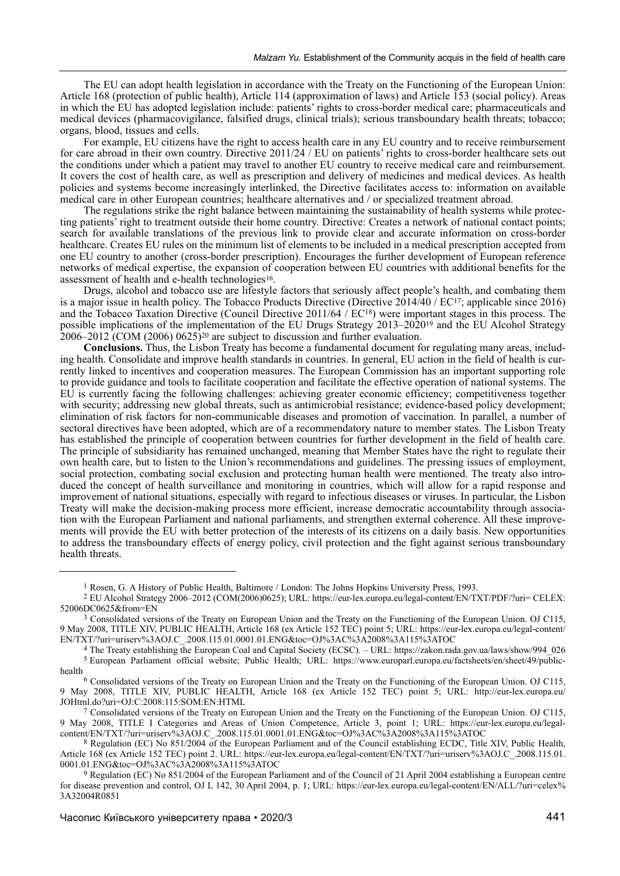The EU can adopt health legislation in accordance with the Treaty on the Functioning of the European Union: Article 168 (protection of public health), Article 114 (approximation of laws) and Article 153 (social policy). Areas in which the EU has adopted legislation include: patients' rights to cross-border medical care; pharmaceuticals and medical devices (pharmacovigilance, falsified drugs, clinical trials); serious transboundary health threats; tobacco; organs, blood, tissues and cells.

For example, EU citizens have the right to access health care in any EU country and to receive reimbursement for care abroad in their own country. Directive 2011/24 / EU on patients' rights to cross-border healthcare sets out the conditions under which a patient may travel to another EU country to receive medical care and reimbursement. It covers the cost of health care, as well as prescription and delivery of medicines and medical devices. As health policies and systems become increasingly interlinked, the Directive facilitates access to: information on available medical care in other European countries; healthcare alternatives and / or specialized treatment abroad.

The regulations strike the right balance between maintaining the sustainability of health systems while protecting patients' right to treatment outside their home country. Directive: Creates a network of national contact points; search for available translations of the previous link to provide clear and accurate information on cross-border healthcare. Creates EU rules on the minimum list of elements to be included in a medical prescription accepted from one EU country to another (cross-border prescription). Encourages the further development of European reference networks of medical expertise, the expansion of cooperation between EU countries with additional benefits for the assessment of health and e-health technologies16.

Drugs, alcohol and tobacco use are lifestyle factors that seriously affect people's health, and combating them is a major issue in health policy. The Tobacco Products Directive (Directive 2014/40 / EC17; applicable since 2016) and the Tobacco Taxation Directive (Council Directive 2011/64 /  $EC^{18}$ ) were important stages in this process. The possible implications of the implementation of the EU Drugs Strategy 2013–202019 and the EU Alcohol Strategy  $2006-2012$  (COM (2006) 0625)<sup>20</sup> are subject to discussion and further evaluation.

**Conclusions.** Thus, the Lisbon Treaty has become a fundamental document for regulating many areas, including health. Consolidate and improve health standards in countries. In general, EU action in the field of health is currently linked to incentives and cooperation measures. The European Commission has an important supporting role to provide guidance and tools to facilitate cooperation and facilitate the effective operation of national systems. The EU is currently facing the following challenges: achieving greater economic efficiency; competitiveness together with security; addressing new global threats, such as antimicrobial resistance; evidence-based policy development; elimination of risk factors for non-communicable diseases and promotion of vaccination. In parallel, a number of sectoral directives have been adopted, which are of a recommendatory nature to member states. The Lisbon Treaty has established the principle of cooperation between countries for further development in the field of health care. The principle of subsidiarity has remained unchanged, meaning that Member States have the right to regulate their own health care, but to listen to the Union's recommendations and guidelines. The pressing issues of employment, social protection, combating social exclusion and protecting human health were mentioned. The treaty also introduced the concept of health surveillance and monitoring in countries, which will allow for a rapid response and improvement of national situations, especially with regard to infectious diseases or viruses. In particular, the Lisbon Treaty will make the decision-making process more efficient, increase democratic accountability through association with the European Parliament and national parliaments, and strengthen external coherence. All these improvements will provide the EU with better protection of the interests of its citizens on a daily basis. New opportunities to address the transboundary effects of energy policy, civil protection and the fight against serious transboundary health threats.

<sup>1</sup> Rosen, G. A History of Public Health, Baltimore / London: The Johns Hopkins University Press, 1993.

<sup>2</sup> EU Alcohol Strategy 2006–2012 (COM(2006)0625); URL: https://eur-lex.europa.eu/legal-content/EN/TXT/PDF/?uri= CELEX: 52006DC0625&from=EN

<sup>3</sup> Consolidated versions of the Treaty on European Union and the Treaty on the Functioning of the European Union. OJ C115, 9 May 2008, TITLE XIV, PUBLIC HEALTH, Article 168 (ex Article 152 TEC) point 5; URL: https://eur-lex.europa.eu/legal-content/ EN/TXT/?uri=uriserv%3AOJ.C\_.2008.115.01.0001.01.ENG&toc=OJ%3AC%3A2008%3A115%3ATOC

<sup>4</sup> The Treaty establishing the European Coal and Capital Society (ECSC). – URL: https://zakon.rada.gov.ua/laws/show/994\_026 5 European Parliament official website; Public Health; URL: https://www.europarl.europa.eu/factsheets/en/sheet/49/publichealth

<sup>6</sup> Consolidated versions of the Treaty on European Union and the Treaty on the Functioning of the European Union. OJ C115, 9 May 2008, TITLE XIV, PUBLIC HEALTH, Article 168 (ex Article 152 TEC) point 5; URL: http://eur-lex.europa.eu/ JOHtml.do?uri=OJ:C:2008:115:SOM:EN:HTML

<sup>&</sup>lt;sup>7</sup> Consolidated versions of the Treaty on European Union and the Treaty on the Functioning of the European Union. OJ C115, 9 May 2008, TITLE I Categories and Areas of Union Competence, Article 3, point 1; URL: https://eur-lex.europa.eu/legalcontent/EN/TXT/?uri=uriserv%3AOJ.C\_.2008.115.01.0001.01.ENG&toc=OJ%3AC%3A2008%3A115%3ATOC

<sup>8</sup> Regulation (EC) No 851/2004 of the European Parliament and of the Council establishing ECDC, Title XIV, Public Health, Article 168 (ex Article 152 TEC) point 2. URL: https://eur-lex.europa.eu/legal-content/EN/TXT/?uri=uriserv%3AOJ.C\_.2008.115.01. 0001.01.ENG&toc=OJ%3AC%3A2008%3A115%3ATOC

<sup>9</sup> Regulation (EC) No 851/2004 of the European Parliament and of the Council of 21 April 2004 establishing a European centre for disease prevention and control, OJ L 142, 30 April 2004, p. 1; URL: https://eur-lex.europa.eu/legal-content/EN/ALL/?uri=celex% 3A32004R0851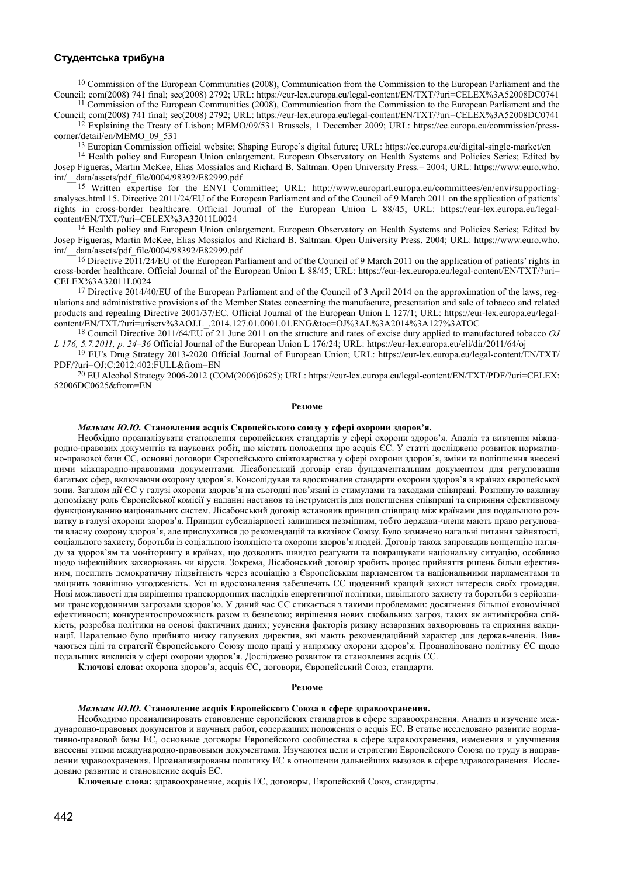## **Студентська трибуна**

<sup>10</sup> Commission of the European Communities (2008), Communication from the Commission to the European Parliament and the Council; com(2008) 741 final; sec(2008) 2792; URL: https://eur-lex.europa.eu/legal-content/EN/TXT/?uri=CELEX%3A52008DC0741  $11$  Commission of the European Communities (2008), Communication from the Commission to the European Parliament and the

Council; com(2008) 741 final; sec(2008) 2792; URL: https://eur-lex.europa.eu/legal-content/EN/TXT/?uri=CELEX%3A52008DC0741 12 Explaining the Treaty of Lisbon; MEMO/09/531 Brussels, 1 December 2009; URL: https://ec.europa.eu/commission/press-

corner/detail/en/MEMO\_09\_531

13 Europian Commission official website; Shaping Europe's digital future; URL: https://ec.europa.eu/digital-single-market/en

<sup>14</sup> Health policy and European Union enlargement. European Observatory on Health Systems and Policies Series; Edited by Josep Figueras, Martin McKee, Elias Mossialos and Richard B. Saltman. Open University Press.– 2004; URL: https://www.euro.who. data/assets/pdf\_file/0004/98392/E82999.pdf

15 Written expertise for the ENVI Committee; URL: http://www.europarl.europa.eu/committees/en/envi/supportinganalyses.html 15. Directive 2011/24/EU of the European Parliament and of the Council of 9 March 2011 on the application of patients' rights in cross-border healthcare. Official Journal of the European Union L 88/45; URL: https://eur-lex.europa.eu/legalcontent/EN/TXT/?uri=CELEX%3A32011L0024

<sup>14</sup> Health policy and European Union enlargement. European Observatory on Health Systems and Policies Series; Edited by Josep Figueras, Martin McKee, Elias Mossialos and Richard B. Saltman. Open University Press. 2004; URL: https://www.euro.who. data/assets/pdf\_file/0004/98392/E82999.pdf

<sup>16</sup> Directive 2011/24/EU of the European Parliament and of the Council of 9 March 2011 on the application of patients' rights in cross-border healthcare. Official Journal of the European Union L 88/45; URL: https://eur-lex.europa.eu/legal-content/EN/TXT/?uri= CELEX%3A32011L0024

<sup>17</sup> Directive 2014/40/EU of the European Parliament and of the Council of 3 April 2014 on the approximation of the laws, regulations and administrative provisions of the Member States concerning the manufacture, presentation and sale of tobacco and related products and repealing Directive 2001/37/EC. Official Journal of the European Union L 127/1; URL: https://eur-lex.europa.eu/legalcontent/EN/TXT/?uri=uriserv%3AOJ.L\_.2014.127.01.0001.01.ENG&toc=OJ%3AL%3A2014%3A127%3ATOC

18 Council Directive 2011/64/EU of 21 June 2011 on the structure and rates of excise duty applied to manufactured tobacco *OJ L 176, 5.7.2011, p. 24–36* Official Journal of the European Union L 176/24; URL: https://eur-lex.europa.eu/eli/dir/2011/64/oj

19 EU's Drug Strategy 2013-2020 Official Journal of European Union; URL: https://eur-lex.europa.eu/legal-content/EN/TXT/ PDF/?uri=OJ:C:2012:402:FULL&from=EN

20 EU Alcohol Strategy 2006-2012 (COM(2006)0625); URL: https://eur-lex.europa.eu/legal-content/EN/TXT/PDF/?uri=CELEX: 52006DC0625&from=EN

#### **Резюме**

## *Мальзам Ю.Ю.* **Становлення acquis Європейського союзу у сфері охорони здоров'я.**

Необхідно проаналізувати становлення європейських стандартів у сфері охорони здоров'я. Аналіз та вивчення міжнародно-правових документів та наукових робіт, що містять положення про acquis ЄС. У статті досліджено розвиток нормативно-правової бази ЄС, основні договори Європейського співтовариства у сфері охорони здоров'я, зміни та поліпшення внесені цими міжнародно-правовими документами. Лісабонський договір став фундаментальним документом для регулювання багатьох сфер, включаючи охорону здоров'я. Консолідував та вдосконалив стандарти охорони здоров'я в країнах європейської зони. Загалом дії ЄС у галузі охорони здоров'я на сьогодні пов'язані із стимулами та заходами співпраці. Розглянуто важливу допоміжну роль Європейської комісії у наданні настанов та інструментів для полегшення співпраці та сприяння ефективному функціонуванню національних систем. Лісабонський договір встановив принцип співпраці між країнами для подальшого розвитку в галузі охорони здоров'я. Принцип субсидіарності залишився незмінним, тобто держави-члени мають право регулювати власну охорону здоров'я, але прислухатися до рекомендацій та вказівок Союзу. Було зазначено нагальні питання зайнятості, соціального захисту, боротьби із соціальною ізоляцією та охорони здоров'я людей. Договір також запровадив концепцію нагляду за здоров'ям та моніторингу в країнах, що дозволить швидко реагувати та покращувати національну ситуацію, особливо щодо інфекційних захворювань чи вірусів. Зокрема, Лісабонський договір зробить процес прийняття рішень більш ефективним, посилить демократичну підзвітність через асоціацію з Європейським парламентом та національними парламентами та зміцнить зовнішню узгодженість. Усі ці вдосконалення забезпечать ЄС щоденний кращий захист інтересів своїх громадян. Нові можливості для вирішення транскордонних наслідків енергетичної політики, цивільного захисту та боротьби з серйозними транскордонними загрозами здоров'ю. У даний час ЄС стикається з такими проблемами: досягнення більшої економічної ефективності; конкурентоспроможність разом із безпекою; вирішення нових глобальних загроз, таких як антимікробна стійкість; розробка політики на основі фактичних даних; усунення факторів ризику незаразних захворювань та сприяння вакцинації. Паралельно було прийнято низку галузевих директив, які мають рекомендаційний характер для держав-членів. Вивчаються цілі та стратегії Європейського Союзу щодо праці у напрямку охорони здоров'я. Проаналізовано політику ЄС щодо подальших викликів у сфері охорони здоров'я. Досліджено розвиток та становлення acquis ЄС.

**Ключові слова:** охорона здоров'я, acquis ЄС, договори, Європейський Союз, стандарти.

#### **Резюме**

#### *Мальзам Ю.Ю.* **Становление acquis Европейского Союза в сфере здравоохранения.**

Необходимо проанализировать становление европейских стандартов в сфере здравоохранения. Анализ и изучение международно-правовых документов и научных работ, содержащих положения о acquis ЕС. В статье исследовано развитие нормативно-правовой базы ЕС, основные договоры Европейского сообщества в сфере здравоохранения, изменения и улучшения внесены этими международно-правовыми документами. Изучаются цели и стратегии Европейского Союза по труду в направлении здравоохранения. Проанализированы политику ЕС в отношении дальнейших вызовов в сфере здравоохранения. Исследовано развитие и становление acquis ЕС.

**Ключевые слова:** здравоохранение, acquis ЕС, договоры, Европейский Союз, стандарты.